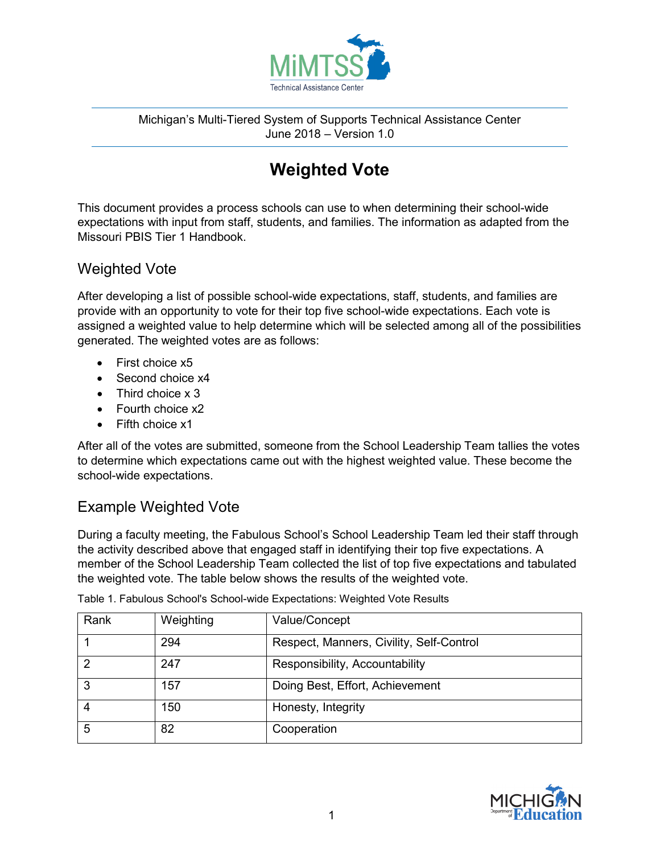

Michigan's Multi-Tiered System of Supports Technical Assistance Center June 2018 – Version 1.0

## **Weighted Vote**

This document provides a process schools can use to when determining their school-wide expectations with input from staff, students, and families. The information as adapted from the Missouri PBIS Tier 1 Handbook.

## Weighted Vote

After developing a list of possible school-wide expectations, staff, students, and families are provide with an opportunity to vote for their top five school-wide expectations. Each vote is assigned a weighted value to help determine which will be selected among all of the possibilities generated. The weighted votes are as follows:

- First choice x5
- Second choice x4
- Third choice x 3
- Fourth choice x2
- Fifth choice x1

After all of the votes are submitted, someone from the School Leadership Team tallies the votes to determine which expectations came out with the highest weighted value. These become the school-wide expectations.

## Example Weighted Vote

During a faculty meeting, the Fabulous School's School Leadership Team led their staff through the activity described above that engaged staff in identifying their top five expectations. A member of the School Leadership Team collected the list of top five expectations and tabulated the weighted vote. The table below shows the results of the weighted vote.

| Rank | Weighting | Value/Concept                            |
|------|-----------|------------------------------------------|
|      | 294       | Respect, Manners, Civility, Self-Control |
|      | 247       | Responsibility, Accountability           |
|      | 157       | Doing Best, Effort, Achievement          |
|      | 150       | Honesty, Integrity                       |
| 5    | 82        | Cooperation                              |

Table 1. Fabulous School's School-wide Expectations: Weighted Vote Results